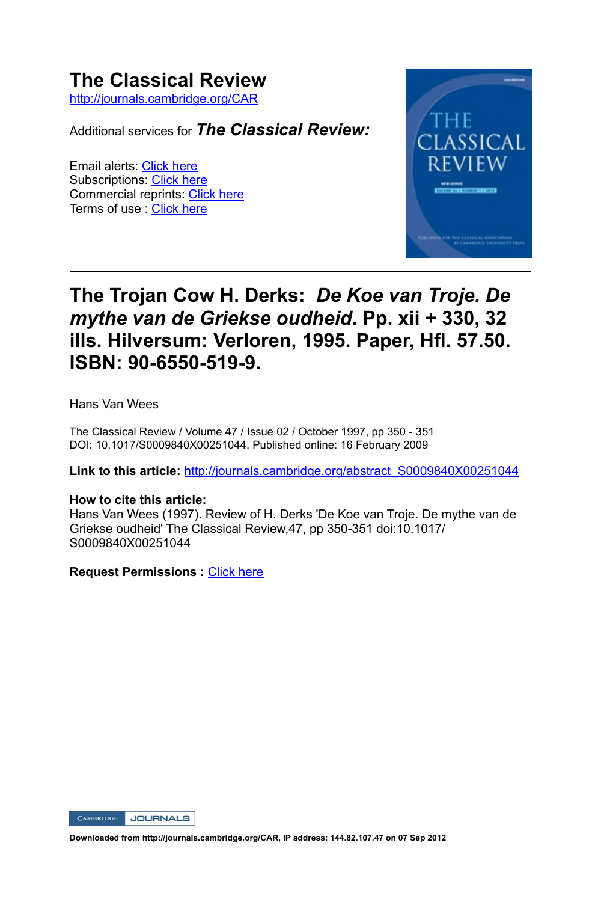# **The Classical Review**

http://journals.cambridge.org/CAR

Additional services for *The Classical Review:*

Email alerts: Click here Subscriptions: Click here Commercial reprints: Click here Terms of use : Click here



## **The Trojan Cow H. Derks:** *De Koe van Troje. De mythe van de Griekse oudheid***. Pp. xii + 330, 32 ills. Hilversum: Verloren, 1995. Paper, Hfl. 57.50. ISBN: 90-6550-519-9.**

Hans Van Wees

The Classical Review / Volume 47 / Issue 02 / October 1997, pp 350 - 351 DOI: 10.1017/S0009840X00251044, Published online: 16 February 2009

**Link to this article:** http://journals.cambridge.org/abstract\_S0009840X00251044

#### **How to cite this article:**

Hans Van Wees (1997). Review of H. Derks 'De Koe van Troje. De mythe van de Griekse oudheid' The Classical Review, 47, pp 350-351 doi:10.1017/ S0009840X00251044

**Request Permissions :** Click here

CAMBRIDGE JOURNALS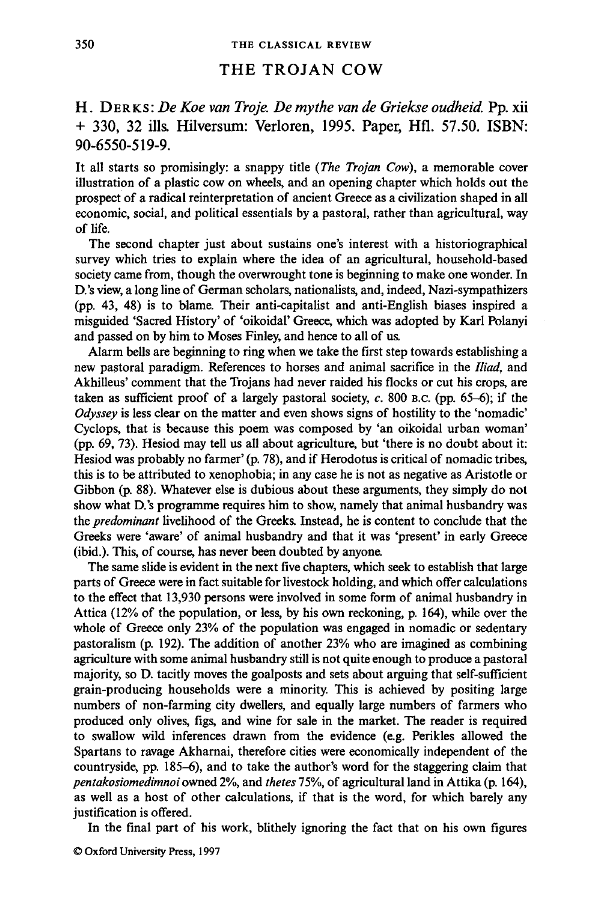#### THE TROJAN COW

H. DERKS : *De Koe van Troje. De my the van de Griekse oudheid.* Pp. xii + 330, 32 ills. Hilversum: Verloren, 1995. Paper, Hfl. 57.50. ISBN: 90-6550-519-9.

It all starts so promisingly: a snappy title *(The Trojan Cow),* a memorable cover illustration of a plastic cow on wheels, and an opening chapter which holds out the prospect of a radical reinterpretation of ancient Greece as a civilization shaped in all economic, social, and political essentials by a pastoral, rather than agricultural, way of life.

The second chapter just about sustains one's interest with a historiographical survey which tries to explain where the idea of an agricultural, household-based society came from, though the overwrought tone is beginning to make one wonder. In D.'s view, a long line of German scholars, nationalists, and, indeed, Nazi-sympathizers (pp. 43, 48) is to blame. Their anti-capitalist and anti-English biases inspired a misguided 'Sacred History' of 'oikoidal' Greece, which was adopted by Karl Polanyi and passed on by him to Moses Finley, and hence to all of us.

Alarm bells are beginning to ring when we take the first step towards establishing a new pastoral paradigm. References to horses and animal sacrifice in the *Iliad,* and Akhilleus' comment that the Trojans had never raided his flocks or cut his crops, are taken as sufficient proof of a largely pastoral society, *c.* 800 B.C. (pp. 65-6); if the *Odyssey* is less clear on the matter and even shows signs of hostility to the 'nomadic' Cyclops, that is because this poem was composed by 'an oikoidal urban woman' (pp. 69, 73). Hesiod may tell us all about agriculture, but 'there is no doubt about it: Hesiod was probably no farmer' (p. 78), and if Herodotus is critical of nomadic tribes, this is to be attributed to xenophobia; in any case he is not as negative as Aristotle or Gibbon (p. 88). Whatever else is dubious about these arguments, they simply do not show what D.'s programme requires him to show, namely that animal husbandry was the *predominant* livelihood of the Greeks. Instead, he is content to conclude that the Greeks were 'aware' of animal husbandry and that it was 'present' in early Greece (ibid.). This, of course, has never been doubted by anyone.

The same slide is evident in the next five chapters, which seek to establish that large parts of Greece were in fact suitable for livestock holding, and which offer calculations to the effect that 13,930 persons were involved in some form of animal husbandry in Attica (12% of the population, or less, by his own reckoning, p. 164), while over the whole of Greece only 23% of the population was engaged in nomadic or sedentary pastoralism (p. 192). The addition of another 23% who are imagined as combining agriculture with some animal husbandry still is not quite enough to produce a pastoral majority, so D. tacitly moves the goalposts and sets about arguing that self-sufficient grain-producing households were a minority. This is achieved by positing large numbers of non-farming city dwellers, and equally large numbers of farmers who produced only olives, figs, and wine for sale in the market. The reader is required to swallow wild inferences drawn from the evidence (e.g. Perikles allowed the Spartans to ravage Akharnai, therefore cities were economically independent of the countryside, pp. 185-6), and to take the author's word for the staggering claim that *pentakosiomedimnoi* owned 2%, and *thetes* 75%, of agricultural land in Attika (p. 164), as well as a host of other calculations, if that is the word, for which barely any justification is offered.

In the final part of his work, blithely ignoring the fact that on his own figures